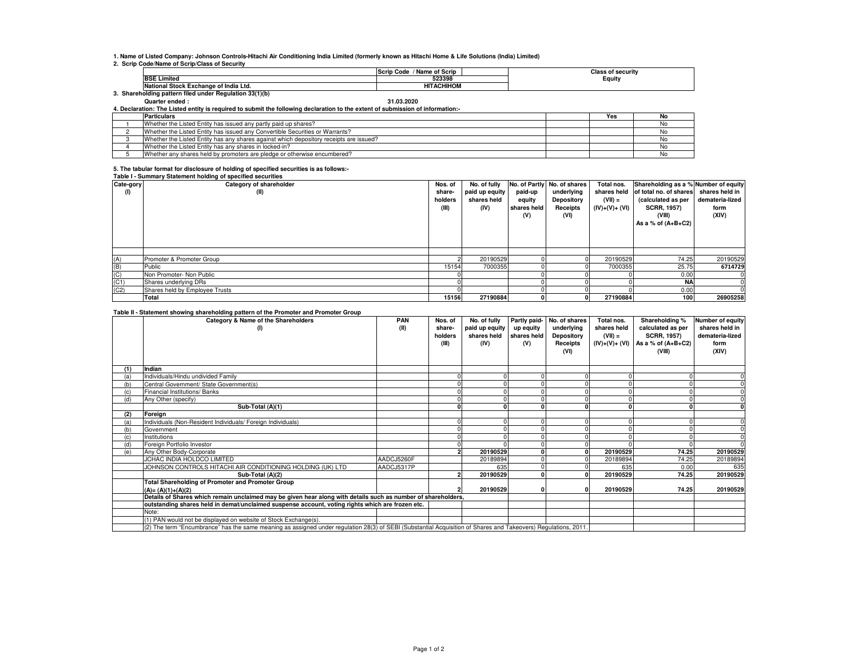**1. Name of Listed Company: Johnson Controls-Hitachi Air Conditioning India Limited (formerly known as Hitachi Home & Life Solutions (India) Limited)**

**2. Scrip Code/Name of Scrip/Class of Security**

|                                                      | / Name of Scrip<br><b>Scrip Code</b> | <b>Class of security</b> |
|------------------------------------------------------|--------------------------------------|--------------------------|
| <b>BSE Limited</b>                                   | 523398                               | Equity                   |
| National Stock Exchange of India Ltd.                | <b>HITACHIHOM</b>                    |                          |
| Shareholding pattern filed under Regulation 33(1)(b) |                                      |                          |

## **Quarter ended : 31.03.2020 4. Declaration: The Listed entity is required to submit the following declaration to the extent of submission of information:-**

| <b>Particulars</b>                                                                     |  | Yes | No |  |  |  |  |  |
|----------------------------------------------------------------------------------------|--|-----|----|--|--|--|--|--|
| Whether the Listed Entity has issued any partly paid up shares?                        |  |     |    |  |  |  |  |  |
| Whether the Listed Entity has issued any Convertible Securities or Warrants?           |  |     |    |  |  |  |  |  |
| Whether the Listed Entity has any shares against which depository receipts are issued? |  |     |    |  |  |  |  |  |
| Whether the Listed Entity has any shares in locked-in?                                 |  |     |    |  |  |  |  |  |
| Whether any shares held by promoters are pledge or otherwise encumbered?               |  |     |    |  |  |  |  |  |
|                                                                                        |  |     |    |  |  |  |  |  |

## **5. The tabular format for disclosure of holding of specified securities is as follows:- Table I - Summary Statement holding of specified securities**

| Cate-gory                        | Table T-Summary Statement Holding or specified securities<br>Category of shareholder | Nos. of                    | No. of fully                          |                                         | No. of Partly No. of shares                  | Total nos.                                  | Shareholding as a % Number of equity                                                                 |                                                    |
|----------------------------------|--------------------------------------------------------------------------------------|----------------------------|---------------------------------------|-----------------------------------------|----------------------------------------------|---------------------------------------------|------------------------------------------------------------------------------------------------------|----------------------------------------------------|
| (I)                              | (II)                                                                                 | share-<br>holders<br>(III) | paid up equity<br>shares held<br>(IV) | paid-up<br>equity<br>shares held<br>(V) | underlying<br>Depository<br>Receipts<br>(VI) | shares held<br>$(VII) =$<br>$(IV)+(V)+(VI)$ | of total no. of shares<br>(calculated as per<br><b>SCRR, 1957)</b><br>(VIII)<br>As a % of $(A+B+C2)$ | shares held in<br>demateria-lized<br>form<br>(XIV) |
|                                  |                                                                                      |                            |                                       |                                         |                                              |                                             |                                                                                                      |                                                    |
| (A)                              | Promoter & Promoter Group                                                            |                            | 20190529                              |                                         |                                              | 20190529                                    | 74.25                                                                                                | 20190529                                           |
| (B)                              | Public                                                                               | 15154                      | 7000355                               |                                         |                                              | 7000355                                     | 25.75                                                                                                | 6714729                                            |
|                                  | Non Promoter- Non Public                                                             |                            |                                       |                                         |                                              |                                             | 0.00                                                                                                 |                                                    |
| $\frac{\text{(C)}}{\text{(C1)}}$ | Shares underlying DRs                                                                |                            |                                       |                                         |                                              |                                             | <b>NA</b>                                                                                            |                                                    |
| (C2)                             | Shares held by Employee Trusts                                                       |                            |                                       |                                         |                                              |                                             | 0.00                                                                                                 |                                                    |
|                                  | Total                                                                                | 15156                      | 27190884                              |                                         |                                              | 27190884                                    | 100                                                                                                  | 26905258                                           |

## **Table II - Statement showing shareholding pattern of the Promoter and Promoter Group**

|     | rasic in clutchicit showing shareholding pattern or the Fromoter and Fromoter croup<br>Category & Name of the Shareholders<br>(1)                               | <b>PAN</b><br>(II) | Nos. of<br>share-<br>holders<br>(III) | No. of fully<br>paid up equity<br>shares held<br>(IV) | up equity<br>shares held<br>(V) | Partly paid- No. of shares<br>underlying<br>Depository<br>Receipts<br>(VI) | Total nos.<br>shares held<br>$(VII) =$<br>(IV)+(V)+ (VI) | Shareholding %<br>calculated as per<br><b>SCRR, 1957)</b><br>As a % of $(A+B+C2)$<br>(VIII) | Number of equity<br>shares held in<br>demateria-lized<br>form<br>(XIV) |
|-----|-----------------------------------------------------------------------------------------------------------------------------------------------------------------|--------------------|---------------------------------------|-------------------------------------------------------|---------------------------------|----------------------------------------------------------------------------|----------------------------------------------------------|---------------------------------------------------------------------------------------------|------------------------------------------------------------------------|
| (1) | Indian                                                                                                                                                          |                    |                                       |                                                       |                                 |                                                                            |                                                          |                                                                                             |                                                                        |
| (a) | Individuals/Hindu undivided Family                                                                                                                              |                    |                                       |                                                       |                                 |                                                                            |                                                          |                                                                                             |                                                                        |
| (b) | Central Government/ State Government(s)                                                                                                                         |                    |                                       |                                                       |                                 |                                                                            |                                                          |                                                                                             |                                                                        |
|     | Financial Institutions/ Banks                                                                                                                                   |                    |                                       |                                                       |                                 |                                                                            |                                                          |                                                                                             |                                                                        |
| (d) | Any Other (specify)                                                                                                                                             |                    |                                       |                                                       |                                 |                                                                            |                                                          |                                                                                             |                                                                        |
|     | Sub-Total (A)(1)                                                                                                                                                |                    |                                       |                                                       |                                 |                                                                            |                                                          |                                                                                             |                                                                        |
| (2) | Foreign                                                                                                                                                         |                    |                                       |                                                       |                                 |                                                                            |                                                          |                                                                                             |                                                                        |
| (a) | Individuals (Non-Resident Individuals/ Foreign Individuals)                                                                                                     |                    |                                       |                                                       |                                 |                                                                            |                                                          |                                                                                             |                                                                        |
| (b) | Government                                                                                                                                                      |                    |                                       |                                                       |                                 |                                                                            |                                                          |                                                                                             |                                                                        |
|     | Institutions                                                                                                                                                    |                    |                                       |                                                       |                                 |                                                                            |                                                          |                                                                                             |                                                                        |
| (d) | Foreign Portfolio Investor                                                                                                                                      |                    |                                       |                                                       |                                 |                                                                            |                                                          |                                                                                             |                                                                        |
| (e) | Any Other Body-Corporate                                                                                                                                        |                    |                                       | 20190529                                              |                                 |                                                                            | 20190529                                                 | 74.25                                                                                       | 20190529                                                               |
|     | JCHAC INDIA HOLDCO LIMITED                                                                                                                                      | AADCJ5260F         |                                       | 20189894                                              |                                 |                                                                            | 20189894                                                 | 74.25                                                                                       | 20189894                                                               |
|     | JOHNSON CONTROLS HITACHI AIR CONDITIONING HOLDING (UK) LTD                                                                                                      | AADCJ5317P         |                                       | 635                                                   |                                 |                                                                            | 635                                                      | 0.00                                                                                        | 635                                                                    |
|     | Sub-Total (A)(2)                                                                                                                                                |                    |                                       | 20190529                                              |                                 |                                                                            | 20190529                                                 | 74.25                                                                                       | 20190529                                                               |
|     | <b>Total Shareholding of Promoter and Promoter Group</b>                                                                                                        |                    |                                       |                                                       |                                 |                                                                            |                                                          |                                                                                             |                                                                        |
|     | $(A) = (A)(1)+(A)(2)$                                                                                                                                           |                    |                                       | 20190529                                              |                                 |                                                                            | 20190529                                                 | 74.25                                                                                       | 20190529                                                               |
|     | Details of Shares which remain unclaimed may be given hear along with details such as number of shareholders,                                                   |                    |                                       |                                                       |                                 |                                                                            |                                                          |                                                                                             |                                                                        |
|     | outstanding shares held in demat/unclaimed suspense account, voting rights which are frozen etc.                                                                |                    |                                       |                                                       |                                 |                                                                            |                                                          |                                                                                             |                                                                        |
|     | Note:                                                                                                                                                           |                    |                                       |                                                       |                                 |                                                                            |                                                          |                                                                                             |                                                                        |
|     | (1) PAN would not be displayed on website of Stock Exchange(s).                                                                                                 |                    |                                       |                                                       |                                 |                                                                            |                                                          |                                                                                             |                                                                        |
|     | (2) The term "Encumbrance" has the same meaning as assigned under regulation 28(3) of SEBI (Substantial Acquisition of Shares and Takeovers) Regulations, 2011. |                    |                                       |                                                       |                                 |                                                                            |                                                          |                                                                                             |                                                                        |